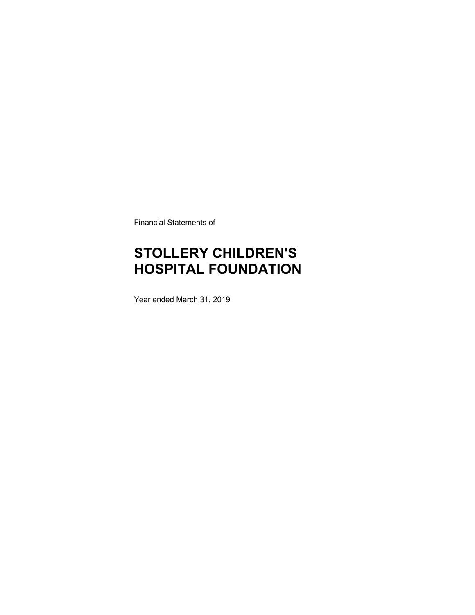Financial Statements of

## **STOLLERY CHILDREN'S HOSPITAL FOUNDATION**

Year ended March 31, 2019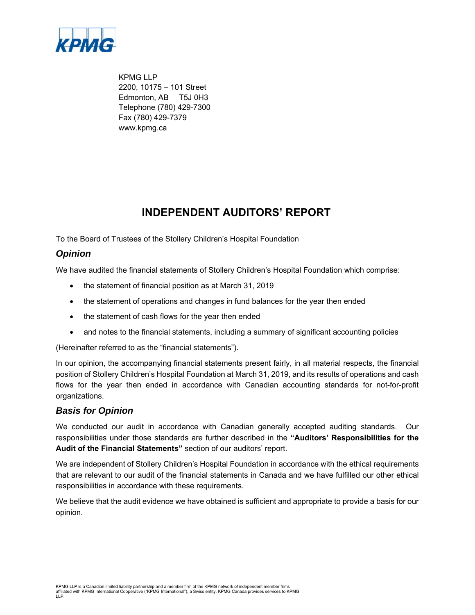

KPMG LLP 2200, 10175 – 101 Street Edmonton, AB T5J 0H3 Telephone (780) 429-7300 Fax (780) 429-7379 www.kpmg.ca

### **INDEPENDENT AUDITORS' REPORT**

To the Board of Trustees of the Stollery Children's Hospital Foundation

### *Opinion*

We have audited the financial statements of Stollery Children's Hospital Foundation which comprise:

- the statement of financial position as at March 31, 2019
- the statement of operations and changes in fund balances for the year then ended
- the statement of cash flows for the year then ended
- and notes to the financial statements, including a summary of significant accounting policies

(Hereinafter referred to as the "financial statements").

In our opinion, the accompanying financial statements present fairly, in all material respects, the financial position of Stollery Children's Hospital Foundation at March 31, 2019, and its results of operations and cash flows for the year then ended in accordance with Canadian accounting standards for not-for-profit organizations.

### *Basis for Opinion*

We conducted our audit in accordance with Canadian generally accepted auditing standards. Our responsibilities under those standards are further described in the **"Auditors' Responsibilities for the Audit of the Financial Statements"** section of our auditors' report.

We are independent of Stollery Children's Hospital Foundation in accordance with the ethical requirements that are relevant to our audit of the financial statements in Canada and we have fulfilled our other ethical responsibilities in accordance with these requirements.

We believe that the audit evidence we have obtained is sufficient and appropriate to provide a basis for our opinion.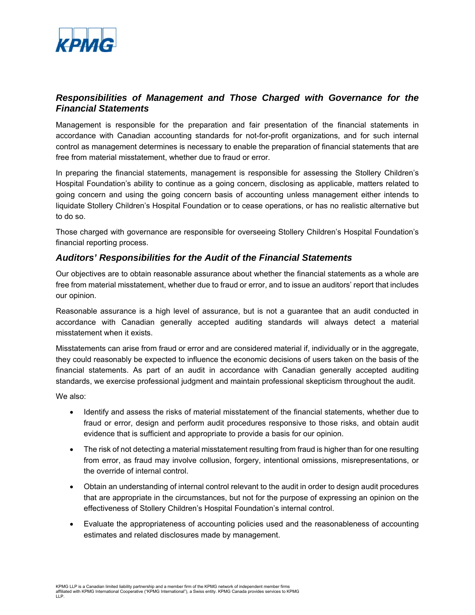

### *Responsibilities of Management and Those Charged with Governance for the Financial Statements*

Management is responsible for the preparation and fair presentation of the financial statements in accordance with Canadian accounting standards for not-for-profit organizations, and for such internal control as management determines is necessary to enable the preparation of financial statements that are free from material misstatement, whether due to fraud or error.

In preparing the financial statements, management is responsible for assessing the Stollery Children's Hospital Foundation's ability to continue as a going concern, disclosing as applicable, matters related to going concern and using the going concern basis of accounting unless management either intends to liquidate Stollery Children's Hospital Foundation or to cease operations, or has no realistic alternative but to do so.

Those charged with governance are responsible for overseeing Stollery Children's Hospital Foundation's financial reporting process.

#### *Auditors' Responsibilities for the Audit of the Financial Statements*

Our objectives are to obtain reasonable assurance about whether the financial statements as a whole are free from material misstatement, whether due to fraud or error, and to issue an auditors' report that includes our opinion.

Reasonable assurance is a high level of assurance, but is not a guarantee that an audit conducted in accordance with Canadian generally accepted auditing standards will always detect a material misstatement when it exists.

Misstatements can arise from fraud or error and are considered material if, individually or in the aggregate, they could reasonably be expected to influence the economic decisions of users taken on the basis of the financial statements. As part of an audit in accordance with Canadian generally accepted auditing standards, we exercise professional judgment and maintain professional skepticism throughout the audit.

We also:

- Identify and assess the risks of material misstatement of the financial statements, whether due to fraud or error, design and perform audit procedures responsive to those risks, and obtain audit evidence that is sufficient and appropriate to provide a basis for our opinion.
- The risk of not detecting a material misstatement resulting from fraud is higher than for one resulting from error, as fraud may involve collusion, forgery, intentional omissions, misrepresentations, or the override of internal control.
- Obtain an understanding of internal control relevant to the audit in order to design audit procedures that are appropriate in the circumstances, but not for the purpose of expressing an opinion on the effectiveness of Stollery Children's Hospital Foundation's internal control.
- Evaluate the appropriateness of accounting policies used and the reasonableness of accounting estimates and related disclosures made by management.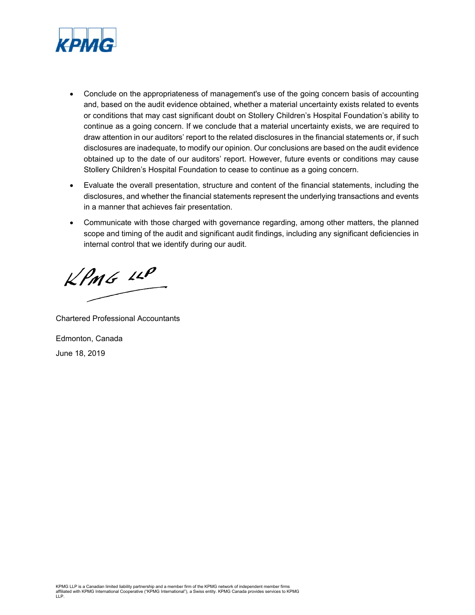

- Conclude on the appropriateness of management's use of the going concern basis of accounting and, based on the audit evidence obtained, whether a material uncertainty exists related to events or conditions that may cast significant doubt on Stollery Children's Hospital Foundation's ability to continue as a going concern. If we conclude that a material uncertainty exists, we are required to draw attention in our auditors' report to the related disclosures in the financial statements or, if such disclosures are inadequate, to modify our opinion. Our conclusions are based on the audit evidence obtained up to the date of our auditors' report. However, future events or conditions may cause Stollery Children's Hospital Foundation to cease to continue as a going concern.
- Evaluate the overall presentation, structure and content of the financial statements, including the disclosures, and whether the financial statements represent the underlying transactions and events in a manner that achieves fair presentation.
- Communicate with those charged with governance regarding, among other matters, the planned scope and timing of the audit and significant audit findings, including any significant deficiencies in internal control that we identify during our audit.

 $KPMG$  11P

Chartered Professional Accountants Edmonton, Canada

June 18, 2019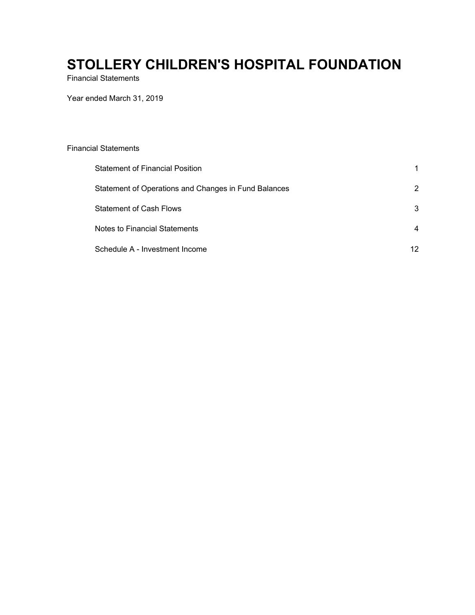Financial Statements

Year ended March 31, 2019

| <b>Financial Statements</b>                          |    |
|------------------------------------------------------|----|
| <b>Statement of Financial Position</b>               |    |
| Statement of Operations and Changes in Fund Balances | 2  |
| <b>Statement of Cash Flows</b>                       | 3  |
| Notes to Financial Statements                        | 4  |
| Schedule A - Investment Income                       | 12 |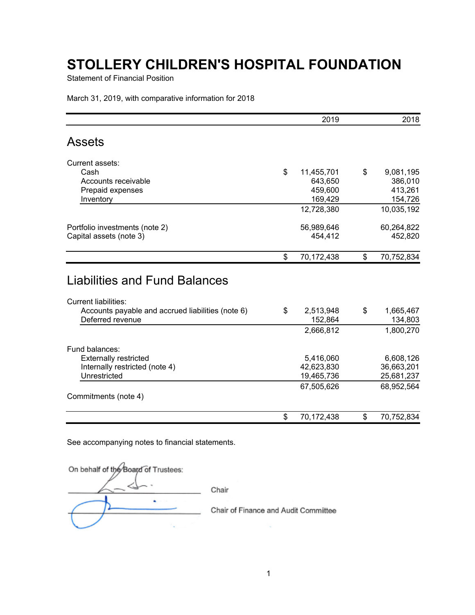Statement of Financial Position

March 31, 2019, with comparative information for 2018

|                                                                                                                                              | 2019                       | 2018                              |
|----------------------------------------------------------------------------------------------------------------------------------------------|----------------------------|-----------------------------------|
| <b>Assets</b>                                                                                                                                |                            |                                   |
| Current assets:                                                                                                                              |                            |                                   |
| Cash                                                                                                                                         | \$<br>11,455,701           | \$<br>9,081,195                   |
| Accounts receivable                                                                                                                          | 643,650                    | 386,010                           |
| Prepaid expenses                                                                                                                             | 459,600                    | 413,261                           |
| Inventory                                                                                                                                    | 169,429                    | 154,726                           |
|                                                                                                                                              | 12,728,380                 | 10,035,192                        |
| Portfolio investments (note 2)                                                                                                               | 56,989,646                 | 60,264,822                        |
| Capital assets (note 3)                                                                                                                      | 454,412                    | 452,820                           |
|                                                                                                                                              | \$<br>70,172,438           | \$<br>70,752,834                  |
|                                                                                                                                              |                            |                                   |
| <b>Liabilities and Fund Balances</b><br><b>Current liabilities:</b><br>Accounts payable and accrued liabilities (note 6)<br>Deferred revenue | \$<br>2,513,948<br>152,864 | \$                                |
|                                                                                                                                              | 2,666,812                  | 1,665,467<br>134,803<br>1,800,270 |
| Fund balances:                                                                                                                               |                            |                                   |
| <b>Externally restricted</b>                                                                                                                 | 5,416,060                  | 6,608,126                         |
| Internally restricted (note 4)                                                                                                               | 42,623,830                 | 36,663,201                        |
| Unrestricted                                                                                                                                 | 19,465,736                 |                                   |
|                                                                                                                                              | 67,505,626                 | 25,681,237<br>68,952,564          |
| Commitments (note 4)                                                                                                                         |                            |                                   |

See accompanying notes to financial statements.

| On behalf of the Board of Trustees: |                                      |  |
|-------------------------------------|--------------------------------------|--|
|                                     | Chair                                |  |
|                                     | Chair of Finance and Audit Committee |  |
|                                     |                                      |  |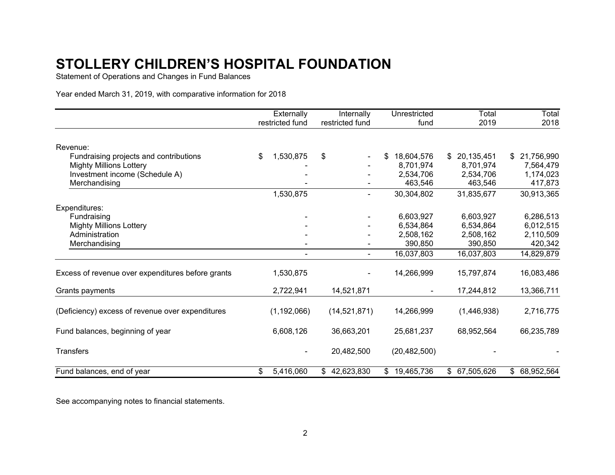Statement of Operations and Changes in Fund Balances

Year ended March 31, 2019, with comparative information for 2018

|                                                   | Externally      | Internally                   | Unrestricted     | Total         | Total         |
|---------------------------------------------------|-----------------|------------------------------|------------------|---------------|---------------|
|                                                   | restricted fund | restricted fund              | fund             | 2019          | 2018          |
| Revenue:                                          |                 |                              |                  |               |               |
| Fundraising projects and contributions            | \$<br>1,530,875 | \$                           | 18,604,576<br>S. | \$20,135,451  | \$21,756,990  |
| <b>Mighty Millions Lottery</b>                    |                 |                              | 8,701,974        | 8,701,974     | 7,564,479     |
| Investment income (Schedule A)                    |                 |                              | 2,534,706        | 2,534,706     | 1,174,023     |
| Merchandising                                     |                 |                              | 463,546          | 463,546       | 417,873       |
|                                                   | 1,530,875       | $\qquad \qquad \blacksquare$ | 30,304,802       | 31,835,677    | 30,913,365    |
| Expenditures:                                     |                 |                              |                  |               |               |
| Fundraising                                       |                 |                              | 6,603,927        | 6,603,927     | 6,286,513     |
| <b>Mighty Millions Lottery</b>                    |                 |                              | 6,534,864        | 6,534,864     | 6,012,515     |
| Administration                                    |                 |                              | 2,508,162        | 2,508,162     | 2,110,509     |
| Merchandising                                     |                 |                              | 390,850          | 390,850       | 420,342       |
|                                                   |                 | $\blacksquare$               | 16,037,803       | 16,037,803    | 14,829,879    |
| Excess of revenue over expenditures before grants | 1,530,875       |                              | 14,266,999       | 15,797,874    | 16,083,486    |
| Grants payments                                   | 2,722,941       | 14,521,871                   |                  | 17,244,812    | 13,366,711    |
| (Deficiency) excess of revenue over expenditures  | (1, 192, 066)   | (14, 521, 871)               | 14,266,999       | (1,446,938)   | 2,716,775     |
| Fund balances, beginning of year                  | 6,608,126       | 36,663,201                   | 25,681,237       | 68,952,564    | 66,235,789    |
| <b>Transfers</b>                                  |                 | 20,482,500                   | (20, 482, 500)   |               |               |
| Fund balances, end of year                        | \$<br>5,416,060 | 42,623,830<br>\$             | \$19,465,736     | \$ 67,505,626 | \$ 68,952,564 |

See accompanying notes to financial statements.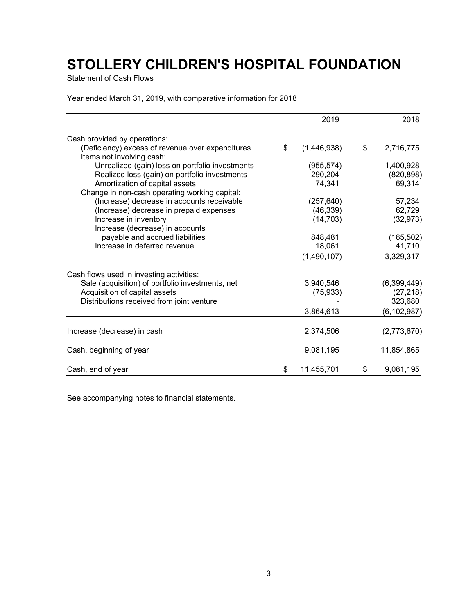Statement of Cash Flows

Year ended March 31, 2019, with comparative information for 2018

|                                                  | 2019              | 2018            |
|--------------------------------------------------|-------------------|-----------------|
| Cash provided by operations:                     |                   |                 |
| (Deficiency) excess of revenue over expenditures | \$<br>(1,446,938) | \$<br>2,716,775 |
| Items not involving cash:                        |                   |                 |
| Unrealized (gain) loss on portfolio investments  | (955, 574)        | 1,400,928       |
| Realized loss (gain) on portfolio investments    | 290,204           | (820, 898)      |
| Amortization of capital assets                   | 74,341            | 69,314          |
| Change in non-cash operating working capital:    |                   |                 |
| (Increase) decrease in accounts receivable       | (257, 640)        | 57,234          |
| (Increase) decrease in prepaid expenses          | (46, 339)         | 62,729          |
| Increase in inventory                            | (14, 703)         | (32, 973)       |
| Increase (decrease) in accounts                  |                   |                 |
| payable and accrued liabilities                  | 848,481           | (165, 502)      |
| Increase in deferred revenue                     | 18,061            | 41,710          |
|                                                  | (1,490,107)       | 3,329,317       |
| Cash flows used in investing activities:         |                   |                 |
| Sale (acquisition) of portfolio investments, net | 3,940,546         | (6,399,449)     |
| Acquisition of capital assets                    | (75, 933)         | (27, 218)       |
| Distributions received from joint venture        |                   | 323,680         |
|                                                  | 3,864,613         | (6, 102, 987)   |
| Increase (decrease) in cash                      | 2,374,506         | (2,773,670)     |
| Cash, beginning of year                          | 9,081,195         | 11,854,865      |
| Cash, end of year                                | \$<br>11,455,701  | \$<br>9,081,195 |

See accompanying notes to financial statements.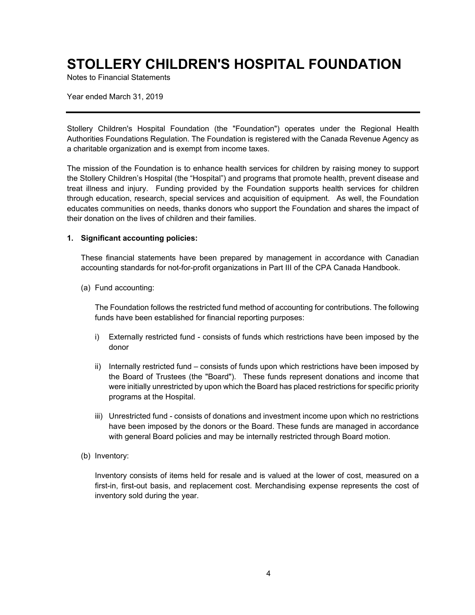Notes to Financial Statements

Year ended March 31, 2019

Stollery Children's Hospital Foundation (the "Foundation") operates under the Regional Health Authorities Foundations Regulation. The Foundation is registered with the Canada Revenue Agency as a charitable organization and is exempt from income taxes.

The mission of the Foundation is to enhance health services for children by raising money to support the Stollery Children's Hospital (the "Hospital") and programs that promote health, prevent disease and treat illness and injury. Funding provided by the Foundation supports health services for children through education, research, special services and acquisition of equipment. As well, the Foundation educates communities on needs, thanks donors who support the Foundation and shares the impact of their donation on the lives of children and their families.

#### **1. Significant accounting policies:**

These financial statements have been prepared by management in accordance with Canadian accounting standards for not-for-profit organizations in Part III of the CPA Canada Handbook.

(a) Fund accounting:

The Foundation follows the restricted fund method of accounting for contributions. The following funds have been established for financial reporting purposes:

- i) Externally restricted fund consists of funds which restrictions have been imposed by the donor
- ii) Internally restricted fund consists of funds upon which restrictions have been imposed by the Board of Trustees (the "Board"). These funds represent donations and income that were initially unrestricted by upon which the Board has placed restrictions for specific priority programs at the Hospital.
- iii) Unrestricted fund consists of donations and investment income upon which no restrictions have been imposed by the donors or the Board. These funds are managed in accordance with general Board policies and may be internally restricted through Board motion.
- (b) Inventory:

Inventory consists of items held for resale and is valued at the lower of cost, measured on a first-in, first-out basis, and replacement cost. Merchandising expense represents the cost of inventory sold during the year.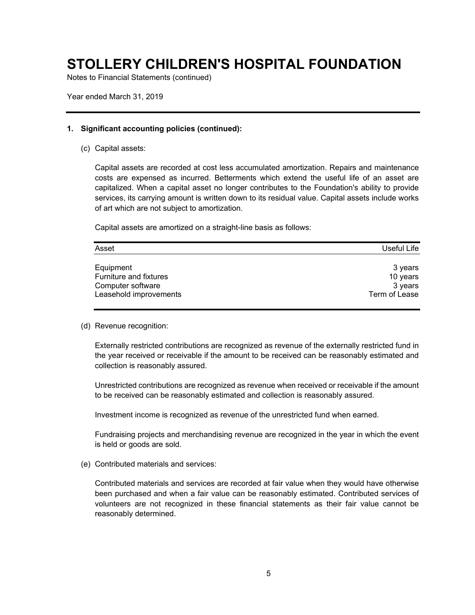Notes to Financial Statements (continued)

Year ended March 31, 2019

#### **1. Significant accounting policies (continued):**

(c) Capital assets:

Capital assets are recorded at cost less accumulated amortization. Repairs and maintenance costs are expensed as incurred. Betterments which extend the useful life of an asset are capitalized. When a capital asset no longer contributes to the Foundation's ability to provide services, its carrying amount is written down to its residual value. Capital assets include works of art which are not subject to amortization.

Capital assets are amortized on a straight-line basis as follows:

| Asset                         | Useful Life   |
|-------------------------------|---------------|
| Equipment                     | 3 years       |
| <b>Furniture and fixtures</b> | 10 years      |
| Computer software             | 3 years       |
| Leasehold improvements        | Term of Lease |

#### (d) Revenue recognition:

Externally restricted contributions are recognized as revenue of the externally restricted fund in the year received or receivable if the amount to be received can be reasonably estimated and collection is reasonably assured.

Unrestricted contributions are recognized as revenue when received or receivable if the amount to be received can be reasonably estimated and collection is reasonably assured.

Investment income is recognized as revenue of the unrestricted fund when earned.

Fundraising projects and merchandising revenue are recognized in the year in which the event is held or goods are sold.

(e) Contributed materials and services:

Contributed materials and services are recorded at fair value when they would have otherwise been purchased and when a fair value can be reasonably estimated. Contributed services of volunteers are not recognized in these financial statements as their fair value cannot be reasonably determined.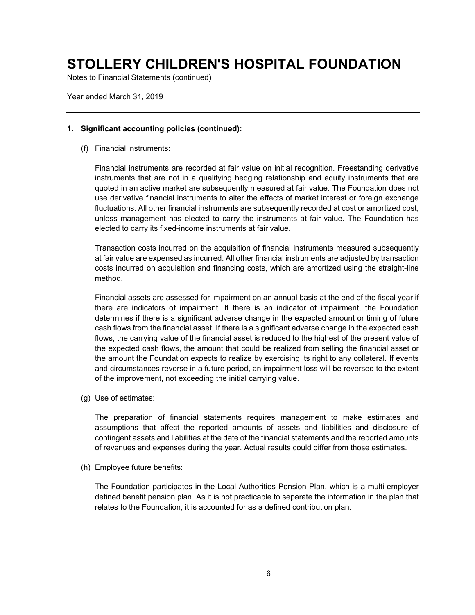Notes to Financial Statements (continued)

Year ended March 31, 2019

#### **1. Significant accounting policies (continued):**

(f) Financial instruments:

Financial instruments are recorded at fair value on initial recognition. Freestanding derivative instruments that are not in a qualifying hedging relationship and equity instruments that are quoted in an active market are subsequently measured at fair value. The Foundation does not use derivative financial instruments to alter the effects of market interest or foreign exchange fluctuations. All other financial instruments are subsequently recorded at cost or amortized cost, unless management has elected to carry the instruments at fair value. The Foundation has elected to carry its fixed-income instruments at fair value.

Transaction costs incurred on the acquisition of financial instruments measured subsequently at fair value are expensed as incurred. All other financial instruments are adjusted by transaction costs incurred on acquisition and financing costs, which are amortized using the straight-line method.

Financial assets are assessed for impairment on an annual basis at the end of the fiscal year if there are indicators of impairment. If there is an indicator of impairment, the Foundation determines if there is a significant adverse change in the expected amount or timing of future cash flows from the financial asset. If there is a significant adverse change in the expected cash flows, the carrying value of the financial asset is reduced to the highest of the present value of the expected cash flows, the amount that could be realized from selling the financial asset or the amount the Foundation expects to realize by exercising its right to any collateral. If events and circumstances reverse in a future period, an impairment loss will be reversed to the extent of the improvement, not exceeding the initial carrying value.

(g) Use of estimates:

The preparation of financial statements requires management to make estimates and assumptions that affect the reported amounts of assets and liabilities and disclosure of contingent assets and liabilities at the date of the financial statements and the reported amounts of revenues and expenses during the year. Actual results could differ from those estimates.

(h) Employee future benefits:

The Foundation participates in the Local Authorities Pension Plan, which is a multi-employer defined benefit pension plan. As it is not practicable to separate the information in the plan that relates to the Foundation, it is accounted for as a defined contribution plan.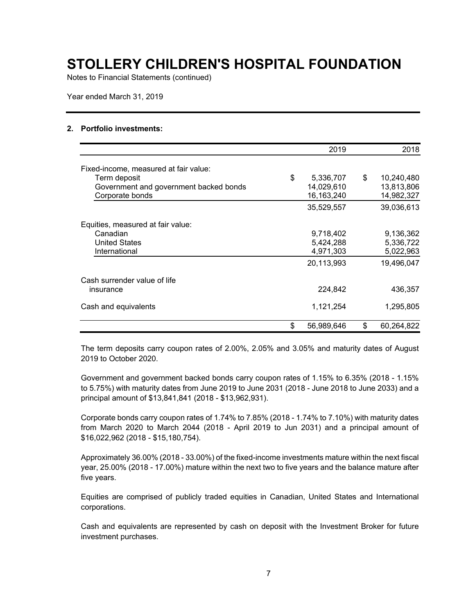Notes to Financial Statements (continued)

Year ended March 31, 2019

#### **2. Portfolio investments:**

|                                        | 2019             | 2018             |
|----------------------------------------|------------------|------------------|
| Fixed-income, measured at fair value:  |                  |                  |
| Term deposit                           | \$<br>5,336,707  | \$<br>10,240,480 |
| Government and government backed bonds | 14,029,610       | 13,813,806       |
| Corporate bonds                        | 16,163,240       | 14,982,327       |
|                                        | 35,529,557       | 39,036,613       |
| Equities, measured at fair value:      |                  |                  |
| Canadian                               | 9,718,402        | 9,136,362        |
| <b>United States</b>                   | 5,424,288        | 5,336,722        |
| International                          | 4,971,303        | 5,022,963        |
|                                        | 20,113,993       | 19,496,047       |
| Cash surrender value of life           |                  |                  |
| insurance                              | 224,842          | 436,357          |
| Cash and equivalents                   | 1,121,254        | 1,295,805        |
|                                        | \$<br>56,989,646 | \$<br>60,264,822 |

The term deposits carry coupon rates of 2.00%, 2.05% and 3.05% and maturity dates of August 2019 to October 2020.

Government and government backed bonds carry coupon rates of 1.15% to 6.35% (2018 - 1.15% to 5.75%) with maturity dates from June 2019 to June 2031 (2018 - June 2018 to June 2033) and a principal amount of \$13,841,841 (2018 - \$13,962,931).

Corporate bonds carry coupon rates of 1.74% to 7.85% (2018 - 1.74% to 7.10%) with maturity dates from March 2020 to March 2044 (2018 - April 2019 to Jun 2031) and a principal amount of \$16,022,962 (2018 - \$15,180,754).

Approximately 36.00% (2018 - 33.00%) of the fixed-income investments mature within the next fiscal year, 25.00% (2018 - 17.00%) mature within the next two to five years and the balance mature after five years.

Equities are comprised of publicly traded equities in Canadian, United States and International corporations.

Cash and equivalents are represented by cash on deposit with the Investment Broker for future investment purchases.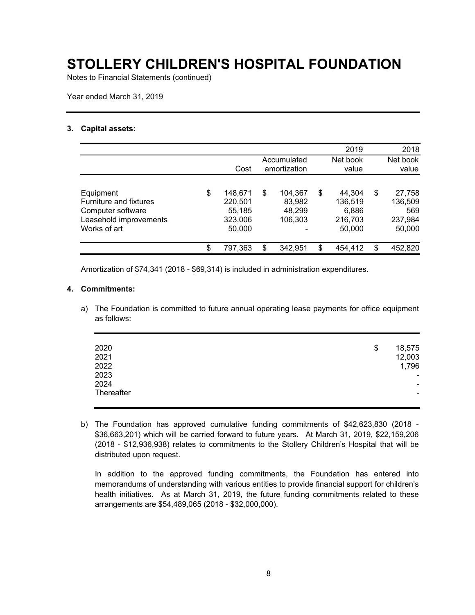Notes to Financial Statements (continued)

Year ended March 31, 2019

#### **3. Capital assets:**

|                                                                                                    |                                                         |                                              | 2019                                                  | 2018                                                |
|----------------------------------------------------------------------------------------------------|---------------------------------------------------------|----------------------------------------------|-------------------------------------------------------|-----------------------------------------------------|
|                                                                                                    | Cost                                                    | Accumulated<br>amortization                  | Net book<br>value                                     | Net book<br>value                                   |
| Equipment<br>Furniture and fixtures<br>Computer software<br>Leasehold improvements<br>Works of art | \$<br>148,671<br>220,501<br>55,185<br>323,006<br>50,000 | \$<br>104.367<br>83,982<br>48,299<br>106,303 | \$<br>44.304<br>136,519<br>6,886<br>216,703<br>50,000 | \$<br>27,758<br>136,509<br>569<br>237,984<br>50,000 |
|                                                                                                    | \$<br>797,363                                           | \$<br>342.951                                | \$<br>454.412                                         | \$<br>452,820                                       |

Amortization of \$74,341 (2018 - \$69,314) is included in administration expenditures.

#### **4. Commitments:**

a) The Foundation is committed to future annual operating lease payments for office equipment as follows:

| 2020       | \$<br>18,575             |
|------------|--------------------------|
| 2021       | 12,003                   |
| 2022       | 1,796                    |
| 2023       | $\overline{\phantom{a}}$ |
| 2024       | ۰.                       |
| Thereafter | ۰                        |
|            |                          |

b) The Foundation has approved cumulative funding commitments of \$42,623,830 (2018 - \$36,663,201) which will be carried forward to future years. At March 31, 2019, \$22,159,206 (2018 - \$12,936,938) relates to commitments to the Stollery Children's Hospital that will be distributed upon request.

In addition to the approved funding commitments, the Foundation has entered into memorandums of understanding with various entities to provide financial support for children's health initiatives. As at March 31, 2019, the future funding commitments related to these arrangements are \$54,489,065 (2018 - \$32,000,000).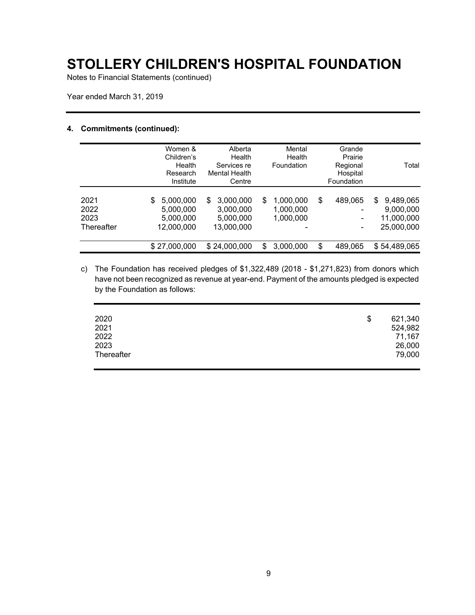Notes to Financial Statements (continued)

Year ended March 31, 2019

#### **4. Commitments (continued):**

|                                    | Women &<br>Children's<br>Health<br>Research            | Alberta<br>Health<br>Services re<br><b>Mental Health</b> | Mental<br>Health<br>Foundation           | Grande<br>Prairie<br>Regional<br>Hospital | Total                                                    |
|------------------------------------|--------------------------------------------------------|----------------------------------------------------------|------------------------------------------|-------------------------------------------|----------------------------------------------------------|
|                                    | Institute                                              | Centre                                                   |                                          | Foundation                                |                                                          |
| 2021<br>2022<br>2023<br>Thereafter | 5,000,000<br>S<br>5,000,000<br>5,000,000<br>12,000,000 | 3,000,000<br>S<br>3,000,000<br>5,000,000<br>13,000,000   | 1,000,000<br>S<br>1,000,000<br>1,000,000 | \$<br>489,065                             | 9,489,065<br>\$<br>9,000,000<br>11,000,000<br>25,000,000 |
|                                    | \$27,000,000                                           | \$24,000,000                                             | 3,000,000<br>\$                          | \$<br>489,065                             | \$54,489,065                                             |

c) The Foundation has received pledges of \$1,322,489 (2018 - \$1,271,823) from donors which have not been recognized as revenue at year-end. Payment of the amounts pledged is expected by the Foundation as follows:

| 2020       | 621,340<br>\$ |  |
|------------|---------------|--|
| 2021       | 524,982       |  |
| 2022       | 71,167        |  |
| 2023       | 26,000        |  |
| Thereafter | 79,000        |  |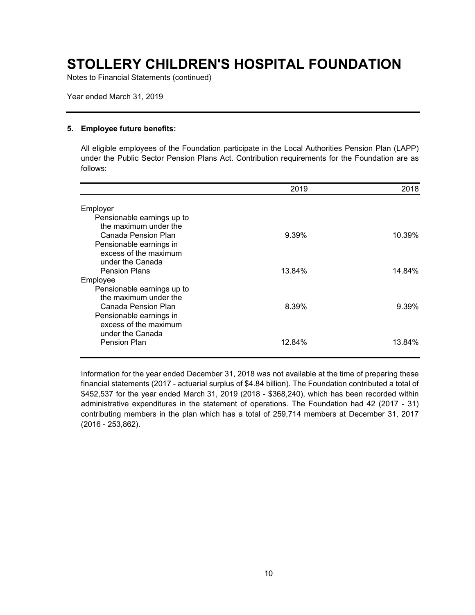Notes to Financial Statements (continued)

Year ended March 31, 2019

#### **5. Employee future benefits:**

All eligible employees of the Foundation participate in the Local Authorities Pension Plan (LAPP) under the Public Sector Pension Plans Act. Contribution requirements for the Foundation are as follows:

|                                                     | 2019   | 2018     |
|-----------------------------------------------------|--------|----------|
| Employer                                            |        |          |
| Pensionable earnings up to                          |        |          |
| the maximum under the                               |        |          |
| Canada Pension Plan                                 | 9.39%  | 10.39%   |
| Pensionable earnings in                             |        |          |
| excess of the maximum                               |        |          |
| under the Canada                                    |        |          |
| <b>Pension Plans</b>                                | 13.84% | 14.84%   |
| Employee                                            |        |          |
| Pensionable earnings up to<br>the maximum under the |        |          |
| Canada Pension Plan                                 | 8.39%  | $9.39\%$ |
| Pensionable earnings in                             |        |          |
| excess of the maximum                               |        |          |
| under the Canada                                    |        |          |
| <b>Pension Plan</b>                                 | 12.84% | 13.84%   |
|                                                     |        |          |

Information for the year ended December 31, 2018 was not available at the time of preparing these financial statements (2017 - actuarial surplus of \$4.84 billion). The Foundation contributed a total of \$452,537 for the year ended March 31, 2019 (2018 - \$368,240), which has been recorded within administrative expenditures in the statement of operations. The Foundation had 42 (2017 - 31) contributing members in the plan which has a total of 259,714 members at December 31, 2017 (2016 - 253,862).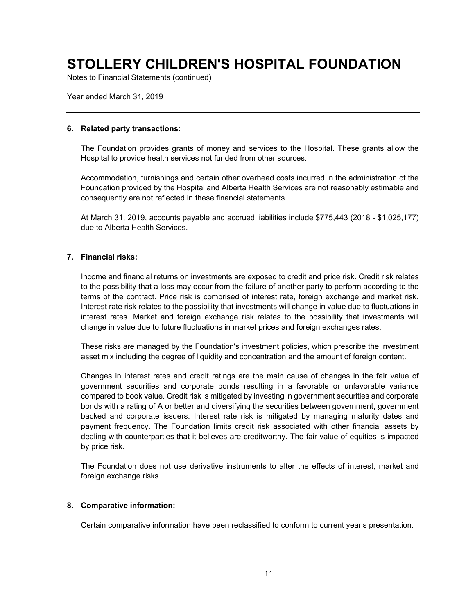Notes to Financial Statements (continued)

Year ended March 31, 2019

#### **6. Related party transactions:**

The Foundation provides grants of money and services to the Hospital. These grants allow the Hospital to provide health services not funded from other sources.

Accommodation, furnishings and certain other overhead costs incurred in the administration of the Foundation provided by the Hospital and Alberta Health Services are not reasonably estimable and consequently are not reflected in these financial statements.

At March 31, 2019, accounts payable and accrued liabilities include \$775,443 (2018 - \$1,025,177) due to Alberta Health Services.

#### **7. Financial risks:**

Income and financial returns on investments are exposed to credit and price risk. Credit risk relates to the possibility that a loss may occur from the failure of another party to perform according to the terms of the contract. Price risk is comprised of interest rate, foreign exchange and market risk. Interest rate risk relates to the possibility that investments will change in value due to fluctuations in interest rates. Market and foreign exchange risk relates to the possibility that investments will change in value due to future fluctuations in market prices and foreign exchanges rates.

These risks are managed by the Foundation's investment policies, which prescribe the investment asset mix including the degree of liquidity and concentration and the amount of foreign content.

Changes in interest rates and credit ratings are the main cause of changes in the fair value of government securities and corporate bonds resulting in a favorable or unfavorable variance compared to book value. Credit risk is mitigated by investing in government securities and corporate bonds with a rating of A or better and diversifying the securities between government, government backed and corporate issuers. Interest rate risk is mitigated by managing maturity dates and payment frequency. The Foundation limits credit risk associated with other financial assets by dealing with counterparties that it believes are creditworthy. The fair value of equities is impacted by price risk.

The Foundation does not use derivative instruments to alter the effects of interest, market and foreign exchange risks.

#### **8. Comparative information:**

Certain comparative information have been reclassified to conform to current year's presentation.